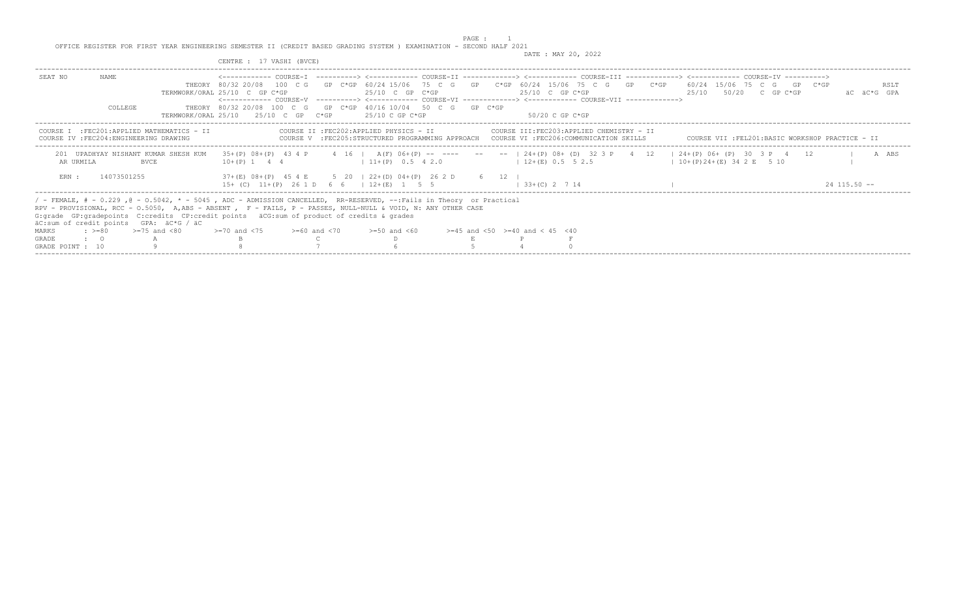PAGE : 1 OFFICE REGISTER FOR FIRST YEAR ENGINEERING SEMESTER II (CREDIT BASED GRADING SYSTEM ) EXAMINATION - SECOND HALF 2021 DATE : MAY 20, 2022

|                                                                                                           | CENTRE : 17 VASHI (BVCE)                                                                                                                                                                                                                                                                                                                                                                                                                                                                      |                     |
|-----------------------------------------------------------------------------------------------------------|-----------------------------------------------------------------------------------------------------------------------------------------------------------------------------------------------------------------------------------------------------------------------------------------------------------------------------------------------------------------------------------------------------------------------------------------------------------------------------------------------|---------------------|
| NAME.<br>SEAT NO<br>COLLEGE                                                                               | THEORY 80/32 20/08 100 C G GP C*GP 60/24 15/06 75 C G GP C*GP 60/24 15/06 75 C G GP C*GP 60/24 15/06 75 C G GP C*GP<br>$25/10$ C GP C*GP<br>$25/10$ C GP C*GP<br>25/10 50/20 C GP C*GP<br>TERMWORK/ORAL $25/10$ C GP C*GP<br><------------ COURSE-V ----------> <------------ COURSE-VI -------------> <------------ COURSE-VII ------------><br>THEORY 80/32 20/08 100 C G GP C*GP 40/16 10/04 50 C G GP C*GP<br>25/10 C GP C*GP<br>TERMWORK/ORAL 25/10 25/10 C GP C*GP<br>$50/20$ C GP C*GP | RSLT<br>AC AC*G GPA |
| COURSE I : FEC201: APPLIED MATHEMATICS - II<br>COURSE IV : FEC204: ENGINEERING DRAWING                    | COURSE II : FEC202: APPLIED PHYSICS - II<br>COURSE III: FEC203: APPLIED CHEMISTRY - II<br>COURSE V : FEC205:STRUCTURED PROGRAMMING APPROACH COURSE VI : FEC206:COMMUNICATION SKILLS COURSE VII : FEL201:BASIC WORKSHOP PRACTICE - II                                                                                                                                                                                                                                                          |                     |
| 201 UPADHYAY NISHANT KUMAR SHESH KUM<br>AR URMILA<br><b>BVCE</b>                                          | 35+(P) 08+(P) 43 4 P 4 16   A(F) 06+(P) -- ---- -- --   24+(P) 08+ (D) 32 3 P 4 12   24+(P) 06+ (P) 30 3 P 4 12<br>$12+(E)$ 0.5 5 2.5<br>$11+ (P)$ 0.5 4 2.0<br>$10+(P)24+(E)342E$ 5 10<br>$10+(P)$ 1 4 4                                                                                                                                                                                                                                                                                     | A ABS               |
| ERN :<br>14073501255                                                                                      | 37+(E) 08+(P) 45 4 E 5 20 1 22+(D) 04+(P) 26 2 D 6 12<br>$15+$ (C) $11+(P)$ 2.6 1 D 6 6 1 12 + (F) 1 5 5<br>$33+(C)$ 2 7 14                                                                                                                                                                                                                                                                                                                                                                   | $24$ 115 50 $-$     |
| äC:sum of credit points GPA: äC*G / äC<br>$\div$ >=80 >=75 and <80<br>MARKS<br>GRADE<br>$\cdot$ $\cdot$ 0 | / - FEMALE, # - 0.229, @ - 0.5042, * - 5045, ADC - ADMISSION CANCELLED, RR-RESERVED, --:Fails in Theory or Practical<br>RPV - PROVISIONAL, RCC - 0.5050, A,ABS - ABSENT , F - FAILS, P - PASSES, NULL-NULL & VOID, N: ANY OTHER CASE<br>G: qrade GP: qradepoints C: credits CP: credit points äCG: sum of product of credits & qrades<br>$>=70$ and $<75$ $>=60$ and $<70$ $>=50$ and $<60$<br>$>=45$ and $<50$ $>=40$ and $< 45$ $<40$                                                       |                     |
| GRADE POINT : 10                                                                                          |                                                                                                                                                                                                                                                                                                                                                                                                                                                                                               |                     |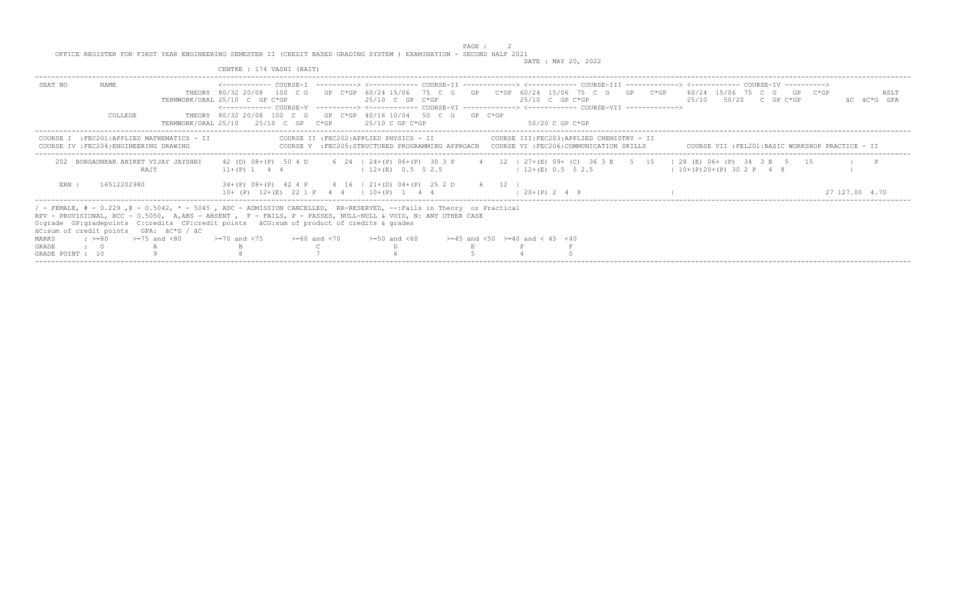|                                  |                         |                                                                                                                                                                                                                                                                                                                                                                                 | CENTRE : 174 VASHI (RAIT)                                                                                                                                                                                                                                    |                                                                                                                                       |  |                                                                                                                                                            |  |                                                 |  |                     |
|----------------------------------|-------------------------|---------------------------------------------------------------------------------------------------------------------------------------------------------------------------------------------------------------------------------------------------------------------------------------------------------------------------------------------------------------------------------|--------------------------------------------------------------------------------------------------------------------------------------------------------------------------------------------------------------------------------------------------------------|---------------------------------------------------------------------------------------------------------------------------------------|--|------------------------------------------------------------------------------------------------------------------------------------------------------------|--|-------------------------------------------------|--|---------------------|
| SEAT NO                          | NAME.<br><b>COLLEGE</b> |                                                                                                                                                                                                                                                                                                                                                                                 | THEORY 80/32 20/08 100 C G GP C*GP 60/24 15/06 75 C G GP C*GP 60/24 15/06 75 C G GP C*GP 60/24 15/06 75 C G GP C*GP<br>TERMWORK/ORAL 25/10 C GP C*GP<br>THEORY 80/32 20/08 100 C G GP C*GP 40/16 10/04 50 C G GP C*GP<br>TERMWORK/ORAL 25/10 25/10 C GP C*GP | 25/10 C GP C*GP<br>$25/10$ C GP C*GP                                                                                                  |  | $25/10$ C GP C*GP<br><------------- COURSE-V ----------> <------------ COURSE-VI -------------> <------------ COURSE-VII -------------><br>50/20 C GP C*GP |  | $25/10$ $50/20$ C GP C*GP                       |  | RSLT<br>äC äC*G GPA |
|                                  |                         | COURSE I : FEC201: APPLIED MATHEMATICS - II<br>COURSE IV : FEC204: ENGINEERING DRAWING                                                                                                                                                                                                                                                                                          |                                                                                                                                                                                                                                                              | COURSE II : FEC202: APPLIED PHYSICS - II                                                                                              |  | COURSE III:FEC203:APPLIED CHEMISTRY - II<br>COURSE V :FEC205:STRUCTURED PROGRAMMING APPROACH COURSE VI :FEC206:COMMUNICATION SKILLS                        |  | COURSE VII :FEL201:BASIC WORKSHOP PRACTICE - II |  |                     |
|                                  |                         | BORGAONKAR ANIKET VIJAY JAYSHRI<br><b>RATT</b>                                                                                                                                                                                                                                                                                                                                  | 42 (D) 08+(P) 50 4 D<br>$11+(P)$ 1 4 4                                                                                                                                                                                                                       | 6 24 1 24 + (P) 06 + (P) 30 3 P<br>$12+(E)$ 0.5 5 2.5                                                                                 |  | 4 12   27+(E) 09+ (C) 36 3 E 5 15   28 (E) 06+ (P) 34 3 E 5 15<br>$12+(E)$ 0.5 5 2.5                                                                       |  | $10+(P)20+(P)302P48$                            |  |                     |
| ERN :                            | 16512202980             |                                                                                                                                                                                                                                                                                                                                                                                 |                                                                                                                                                                                                                                                              | $34+(P)$ $08+(P)$ $42$ $4$ $P$ $4$ $16$ $121+(D)$ $04+(P)$ $25$ $2$ $D$ $6$ $12$ $1$<br>$10+$ (P) $12+(E)$ 22 1 P 4 4   10+ (P) 1 4 4 |  | $1, 20+(P)$ 2 4 8                                                                                                                                          |  |                                                 |  | 27 127.00 4.70      |
|                                  |                         | / - FEMALE, # - 0.229, @ - 0.5042, * - 5045, ADC - ADMISSION CANCELLED, RR-RESERVED, --:Fails in Theory or Practical<br>RPV - PROVISIONAL, RCC - 0.5050, A,ABS - ABSENT , F - FAILS, P - PASSES, NULL-NULL & VOID, N: ANY OTHER CASE<br>G: grade GP: gradepoints C: credits CP: credit points äCG: sum of product of credits & grades<br>äC:sum of credit points GPA: äC*G / äC |                                                                                                                                                                                                                                                              |                                                                                                                                       |  |                                                                                                                                                            |  |                                                 |  |                     |
| MARKS                            |                         | $\div$ >=80 >=75 and <80                                                                                                                                                                                                                                                                                                                                                        | $>=70$ and $<75$ $>=60$ and $<70$                                                                                                                                                                                                                            | $>=50$ and $<60$                                                                                                                      |  | $>=45$ and $<50$ $>=40$ and $< 45$ $<40$                                                                                                                   |  |                                                 |  |                     |
| <b>GRADE</b><br>GRADE POINT : 10 | $\cdot$ $\cdot$ 0       |                                                                                                                                                                                                                                                                                                                                                                                 |                                                                                                                                                                                                                                                              |                                                                                                                                       |  |                                                                                                                                                            |  |                                                 |  |                     |
|                                  |                         |                                                                                                                                                                                                                                                                                                                                                                                 |                                                                                                                                                                                                                                                              |                                                                                                                                       |  |                                                                                                                                                            |  |                                                 |  |                     |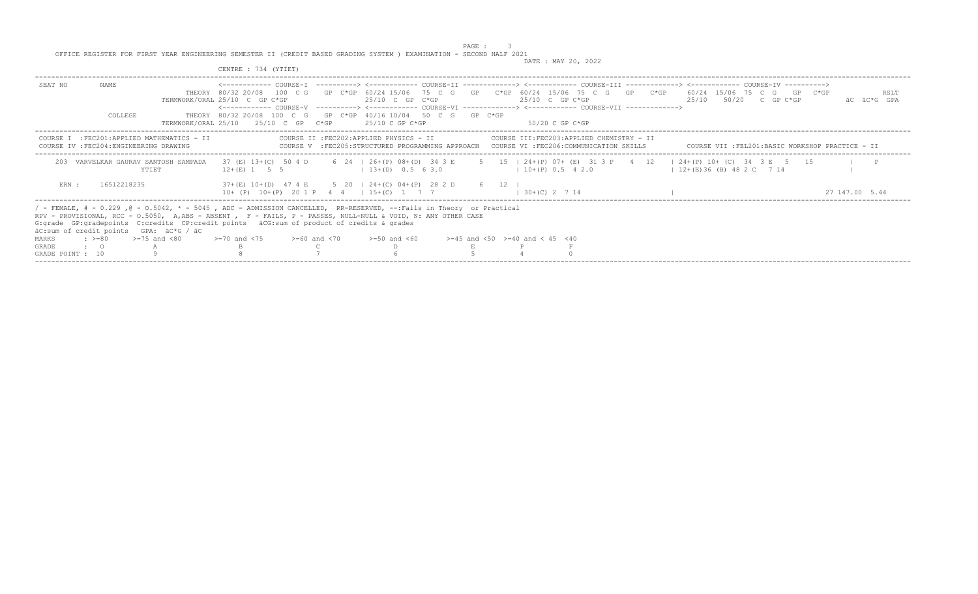|                  |                   |                                                                                                                                                                                                                                                                                                                                                                                  | CENTRE : 734 (YTIET)                                                                                                                                                                                                                                                      |  |                                          |  |                                          |  |                                                                                                                                                                  |  |                |                     |
|------------------|-------------------|----------------------------------------------------------------------------------------------------------------------------------------------------------------------------------------------------------------------------------------------------------------------------------------------------------------------------------------------------------------------------------|---------------------------------------------------------------------------------------------------------------------------------------------------------------------------------------------------------------------------------------------------------------------------|--|------------------------------------------|--|------------------------------------------|--|------------------------------------------------------------------------------------------------------------------------------------------------------------------|--|----------------|---------------------|
| SEAT NO          | NAME.             |                                                                                                                                                                                                                                                                                                                                                                                  | THEORY 80/32 20/08 100 C G GP C*GP 60/24 15/06 75 C G GP C*GP 60/24 15/06 75 C G GP C*GP 60/24 15/06 75 C G GP C*GP<br>TERMWORK/ORAL 25/10 C GP C*GP<br><------------ COURSE-V ----------> <------------ COURSE-VI -------------> <------------ COURSE-VII -------------> |  | 25/10 C GP C*GP                          |  | $25/10$ C GP C*GP                        |  | <------------ COURSE-T ----------> <------------ COURSE-TT -------------> <----------- COURSE-TT -----------> <---------- COURSE-TT<br>$25/10$ $50/20$ C GP C*GP |  |                | RSLT<br>äC äC*G GPA |
|                  | COLLEGE           |                                                                                                                                                                                                                                                                                                                                                                                  | THEORY 80/32 20/08 100 C G GP C*GP 40/16 10/04 50 C G GP C*GP<br>$TERMWORK/ORAI, 25/10$ $25/10$ C GP $C*GP$                                                                                                                                                               |  | 25/10 C GP C*GP                          |  | - 50/20 C GP C*GP                        |  |                                                                                                                                                                  |  |                |                     |
|                  |                   | COURSE I : FEC201: APPLIED MATHEMATICS - II<br>COURSE IV : FEC204: ENGINEERING DRAWING                                                                                                                                                                                                                                                                                           |                                                                                                                                                                                                                                                                           |  | COURSE II : FEC202: APPLIED PHYSICS - II |  | COURSE III:FEC203:APPLIED CHEMISTRY - II |  | COURSE V :FEC205:STRUCTURED PROGRAMMING APPROACH COURSE VI :FEC206:COMMUNICATION SKILLS COURSE VII :FEL201:BASIC WORKSHOP PRACTICE - II                          |  |                |                     |
|                  |                   | VARVELKAR GAURAV SANTOSH SAMPADA<br>YTIET                                                                                                                                                                                                                                                                                                                                        | 37 (E) 13+(C) 50 4 D 6 24   26+(P) 08+(D) 34 3 E 5 15   24+(P) 07+ (E) 31 3 P 4 12   24+(P) 10+ (C) 34 3 E 5 15<br>$12 + (E)$ 1 5 5                                                                                                                                       |  | $(13+(D) 0.5 6 3.0)$                     |  | $10+(P) 0.5 4 2.0$                       |  | $12+(E)36$ (B) 48 2 C 7 14                                                                                                                                       |  |                |                     |
| ERN :            | 16512218235       |                                                                                                                                                                                                                                                                                                                                                                                  | 37+(E) 10+(D) 47 4 E 5 20   24+(C) 04+(P) 28 2 D 6 12  <br>$10+$ (P) $10+(P)$ 20 1 P 4 4   15+(C) 1 7 7                                                                                                                                                                   |  |                                          |  | $1, 30 + (C)$ 2 7 14                     |  |                                                                                                                                                                  |  | 27 147 00 5.44 |                     |
|                  |                   | / - FEMALE, # - 0.229 ,@ - 0.5042, * - 5045 , ADC - ADMISSION CANCELLED, RR-RESERVED, --:Fails in Theory or Practical<br>RPV - PROVISIONAL, RCC - 0.5050, A,ABS - ABSENT , F - FAILS, P - PASSES, NULL-NULL & VOID, N: ANY OTHER CASE<br>G: qrade GP: qradepoints C: credits CP: credit points äCG: sum of product of credits & qrades<br>äC:sum of credit points GPA: äC*G / äC |                                                                                                                                                                                                                                                                           |  |                                          |  |                                          |  |                                                                                                                                                                  |  |                |                     |
| <b>MARKS</b>     |                   | $\approx$ $> = 80$ $\gt = 75$ and $< 80$                                                                                                                                                                                                                                                                                                                                         | $>=70$ and $<75$ $>=60$ and $<70$                                                                                                                                                                                                                                         |  | $>=50$ and $<60$                         |  | $>=45$ and $<50$ $>=40$ and $< 45$ $<40$ |  |                                                                                                                                                                  |  |                |                     |
| <b>GRADE</b>     | $\cdot$ $\cdot$ 0 |                                                                                                                                                                                                                                                                                                                                                                                  |                                                                                                                                                                                                                                                                           |  |                                          |  |                                          |  |                                                                                                                                                                  |  |                |                     |
| GRADE POINT : 10 |                   |                                                                                                                                                                                                                                                                                                                                                                                  |                                                                                                                                                                                                                                                                           |  |                                          |  |                                          |  |                                                                                                                                                                  |  |                |                     |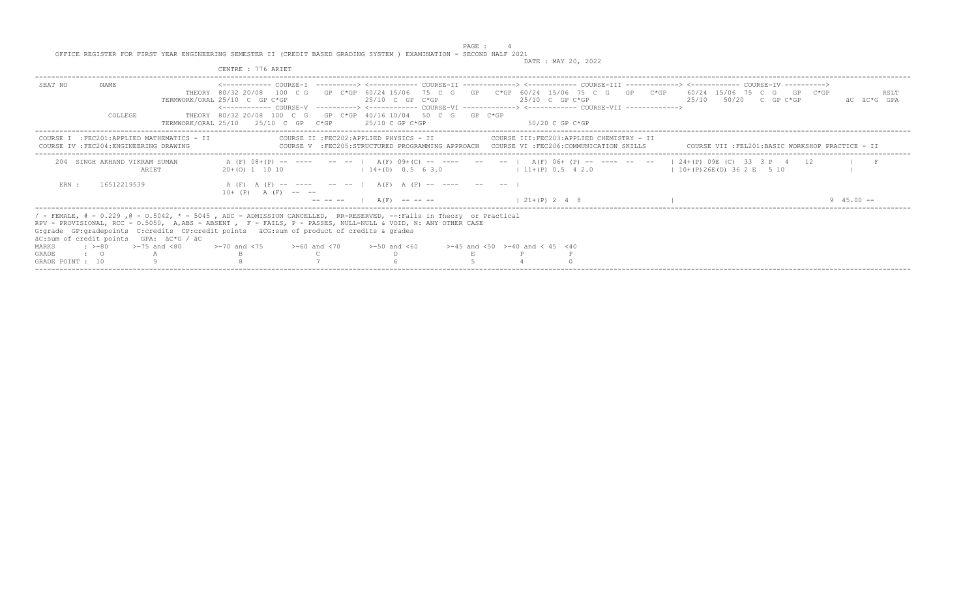DATE : MAY 20, 2022

|                                         |                                             | CENTRE : 776 ARIET                                                                                                                                                                                                                                                                                                                                                                                                                 |                                          |                                                                                             | DAID , MAI 20, 2022 |                                               |                                                   |                     |
|-----------------------------------------|---------------------------------------------|------------------------------------------------------------------------------------------------------------------------------------------------------------------------------------------------------------------------------------------------------------------------------------------------------------------------------------------------------------------------------------------------------------------------------------|------------------------------------------|---------------------------------------------------------------------------------------------|---------------------|-----------------------------------------------|---------------------------------------------------|---------------------|
| NAME.<br>SEAT NO                        |                                             | THEORY 80/32 20/08 100 C G GP C*GP 60/24 15/06 75 C G GP C*GP 60/24 15/06 75 C G GP C*GP 60/24 15/06 75 C G GP C*GP<br>TERMWORK/ORAL 25/10 C GP C*GP<br><------------- COURSE-V ----------> <------------ COURSE-VI -------------> <------------- COURSE-VII ------------->                                                                                                                                                        |                                          | $25/10$ C GP C*GP                                                                           | $25/10$ C GP C*GP   |                                               | 25/10 50/20 C GP C*GP                             | RSLT<br>AC AC*G GPA |
|                                         | COLLEGE                                     | THEORY 80/32 20/08 100 C G GP C*GP 40/16 10/04 50 C G GP C*GP<br>TERMWORK/ORAL $25/10$ $25/10$ C GP $C*GP$ $25/10$ C GP $C*GP$                                                                                                                                                                                                                                                                                                     |                                          |                                                                                             | - 50/20 C GP C*GP   |                                               |                                                   |                     |
| COURSE IV : FEC204: ENGINEERING DRAWING | COURSE I : FEC201: APPLIED MATHEMATICS - II |                                                                                                                                                                                                                                                                                                                                                                                                                                    | COURSE II : FEC202: APPLIED PHYSICS - II | COURSE V : FEC205: STRUCTURED PROGRAMMING APPROACH COURSE VI : FEC206: COMMUNICATION SKILLS |                     | COURSE III:FEC203:APPLIED CHEMISTRY - II      | COURSE VII : FEL201: BASIC WORKSHOP PRACTICE - II |                     |
|                                         | 204 SINGH AKHAND VIKRAM SUMAN<br>ARIET      | A (F) 08+(P) -- ---- -- --   A(F) 09+(C) -- ---- -- --   A(F) 06+ (P) -- ---- -- --   24+(P) 09E (C) 33 3 P 4 12<br>$20+ (0)$ 1 10 10                                                                                                                                                                                                                                                                                              | $14+(D)$ 0.5 6 3.0                       |                                                                                             |                     | $11+(P)$ 0.5 4 2.0 $10+(P)26E(D)$ 36 2 E 5 10 |                                                   |                     |
| ERN :                                   | 16512219539                                 | A (F) A (F) -- ---- -- --   A (F) A (F) -- ---- -- --<br>$10+$ (P) A (F) -- --                                                                                                                                                                                                                                                                                                                                                     | $--- --- -- A(F)$ $--- ---$              |                                                                                             | $1, 21+(P)$ 2 4 8   |                                               |                                                   | 94500-              |
| $\cdot$ $\cdot$ 0<br><b>GRADE</b>       | äC:sum of credit points GPA: äC*G / äC      | / - FEMALE, # - 0.229, @ - 0.5042, * - 5045, ADC - ADMISSION CANCELLED, RR-RESERVED, --:Fails in Theory or Practical<br>RPV - PROVISIONAL, RCC - 0.5050, A,ABS - ABSENT , F - FAILS, P - PASSES, NULL-NULL & VOID, N: ANY OTHER CASE<br>G:grade GP:gradepoints C:credits CP:credit points äCG:sum of product of credits & grades<br>MARKS : >=80 >=75 and <80 >=70 and <75 >=60 and <70 >=50 and <60 >=45 and <50 >=40 and <45 <40 |                                          |                                                                                             |                     |                                               |                                                   |                     |
| GRADE POINT : 10                        |                                             |                                                                                                                                                                                                                                                                                                                                                                                                                                    |                                          |                                                                                             |                     |                                               |                                                   |                     |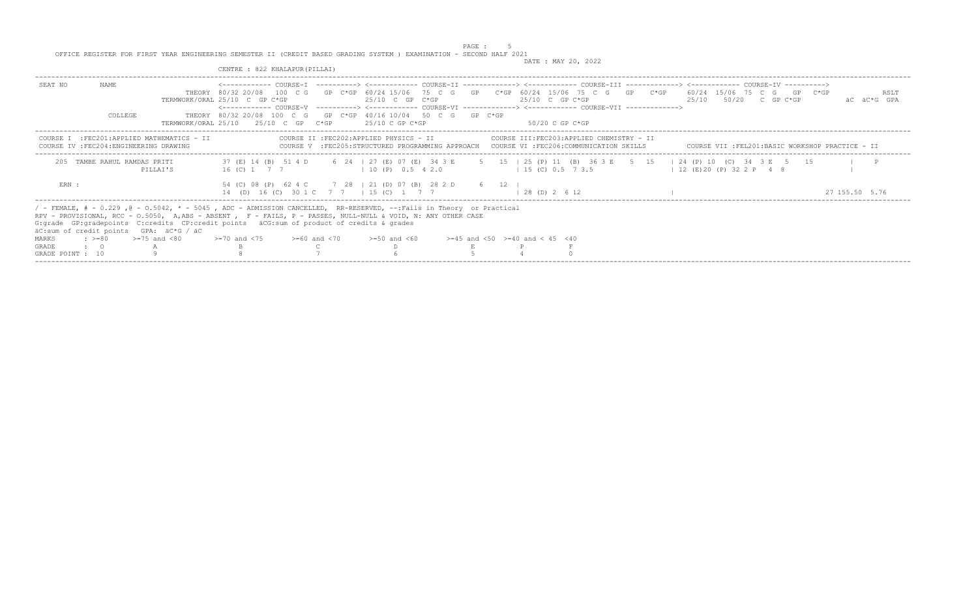|                                  |                              |                                                                                                                                         | CENTRE : 822 KHALAPUR (PILLAI)                                       |                                                                                                                                                                                                                                                                                                                                                  |                                          |                           |                            |                                                 |
|----------------------------------|------------------------------|-----------------------------------------------------------------------------------------------------------------------------------------|----------------------------------------------------------------------|--------------------------------------------------------------------------------------------------------------------------------------------------------------------------------------------------------------------------------------------------------------------------------------------------------------------------------------------------|------------------------------------------|---------------------------|----------------------------|-------------------------------------------------|
| SEAT NO                          | NAME.<br><b>COLLEGE</b>      |                                                                                                                                         | TERMWORK/ORAL 25/10 C GP C*GP<br>TERMWORK/ORAL 25/10 25/10 C GP C*GP | THEORY 80/32 20/08 100 C G GP C*GP 60/24 15/06 75 C G GP C*GP 60/24 15/06 75 C G GP C*GP 60/24 15/06 75 C G GP C*GP<br>25/10 C GP C*GP<br><------------- COURSE-V ----------> <------------ COURSE-VI -------------> <------------ COURSE-VII -------------><br>THEORY 80/32 20/08 100 C G GP C*GP 40/16 10/04 50 C G GP C*GP<br>25/10 C GP C*GP | $25/10$ C GP C*GP<br>50/20 C GP C*GP     | $25/10$ $50/20$ C GP C*GP |                            | RSLT<br>äC äC*G GPA                             |
|                                  |                              | COURSE I : FEC201: APPLIED MATHEMATICS - II<br>COURSE IV : FEC204: ENGINEERING DRAWING                                                  |                                                                      | COURSE II : FEC202: APPLIED PHYSICS - II<br>COURSE V :FEC205:STRUCTURED PROGRAMMING APPROACH COURSE VI :FEC206:COMMUNICATION SKILLS                                                                                                                                                                                                              | COURSE III:FEC203:APPLIED CHEMISTRY - II |                           |                            | COURSE VII :FEL201:BASIC WORKSHOP PRACTICE - II |
|                                  | 205 TAMBE RAHUL RAMDAS PRITI | PILLAT'S                                                                                                                                |                                                                      | 37 (E) 14 (B) 51 4 D 6 24   27 (E) 07 (E) 34 3 E 5 15   25 (P) 11 (B) 36 3 E 5 15   24 (P) 10 (C) 34 3 E 5 15<br>16 (C) 1 7 7 1 10 (P) 0.5 4 2.0                                                                                                                                                                                                 | 1 15 (C) 0.5 7 3.5                       |                           | $12$ (E) 20 (P) 32 2 P 4 8 |                                                 |
| ERN :                            |                              |                                                                                                                                         |                                                                      | 54 (C) 08 (P) 62 4 C 7 28   21 (D) 07 (B) 28 2 D 6 12  <br>14 (D) 16 (C) 30 1 C 7 7   15 (C) 1 7 7   28 (D) 2 6 12                                                                                                                                                                                                                               |                                          |                           |                            | 27 155.50 5.76                                  |
|                                  |                              | G: grade GP: gradepoints C: credits CP: credit points äCG: sum of product of credits & grades<br>äC:sum of credit points GPA: äC*G / äC |                                                                      | / - FEMALE, # - 0.229, @ - 0.5042, * - 5045, ADC - ADMISSION CANCELLED, RR-RESERVED, --:Fails in Theory or Practical<br>RPV - PROVISIONAL, RCC - 0.5050, A,ABS - ABSENT , F - FAILS, P - PASSES, NULL-NULL & VOID, N: ANY OTHER CASE                                                                                                             |                                          |                           |                            |                                                 |
| MARKS                            |                              | $\div$ >=80 >=75 and <80                                                                                                                | $> = 70$ and $< 75$ $> = 60$ and $< 70$                              | $>=50$ and $<60$                                                                                                                                                                                                                                                                                                                                 | $>=45$ and $<50$ $>=40$ and $< 45$ $<40$ |                           |                            |                                                 |
| <b>GRADE</b><br>GRADE POINT : 10 | $\cdot$ 0                    |                                                                                                                                         |                                                                      |                                                                                                                                                                                                                                                                                                                                                  |                                          |                           |                            |                                                 |
|                                  |                              |                                                                                                                                         |                                                                      |                                                                                                                                                                                                                                                                                                                                                  |                                          |                           |                            |                                                 |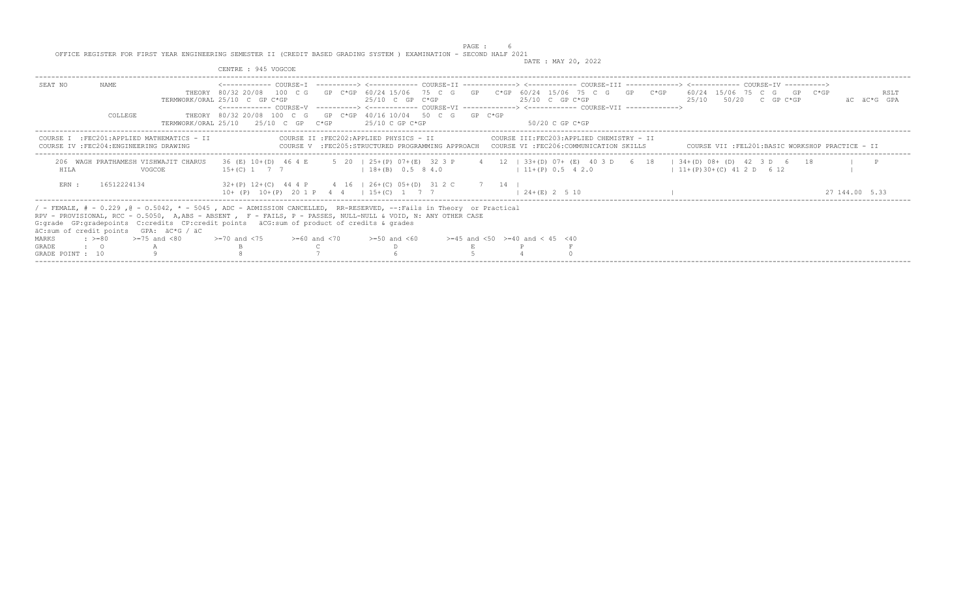|                  |                         |                                                                                                                                                                                                                                                                                                                                                                                 | CENTRE : 945 VOGCOE                                                                                                                                                                                                   |  |                                          |  |                                                                                                                                                                                     |  |  |                        |                           |                |      |
|------------------|-------------------------|---------------------------------------------------------------------------------------------------------------------------------------------------------------------------------------------------------------------------------------------------------------------------------------------------------------------------------------------------------------------------------|-----------------------------------------------------------------------------------------------------------------------------------------------------------------------------------------------------------------------|--|------------------------------------------|--|-------------------------------------------------------------------------------------------------------------------------------------------------------------------------------------|--|--|------------------------|---------------------------|----------------|------|
| SEAT NO          | NAME.<br><b>COLLEGE</b> |                                                                                                                                                                                                                                                                                                                                                                                 | THEORY 80/32 20/08 100 C G GP C*GP 60/24 15/06 75 C G GP C*GP 60/24 15/06 75 C G GP C*GP 60/24 15/06 75 C G GP C*GP<br>TERMWORK/ORAL 25/10 C GP C*GP<br>THEORY 80/32 20/08 100 C G GP C*GP 40/16 10/04 50 C G GP C*GP |  | $25/10$ C GP C*GP                        |  | $25/10$ C GP C*GP<br><------------- COURSE-V ----------> <------------ COURSE-VI -------------> <------------ COURSE-VII ------------->                                             |  |  |                        | $25/10$ $50/20$ C GP C*GP | äC äC*G GPA    | RSLT |
|                  |                         |                                                                                                                                                                                                                                                                                                                                                                                 | TERMWORK/ORAL 25/10 25/10 C GP C*GP                                                                                                                                                                                   |  | 25/10 C GP C*GP                          |  | 50/20 C GP C*GP                                                                                                                                                                     |  |  |                        |                           |                |      |
|                  |                         | COURSE I : FEC201: APPLIED MATHEMATICS - II<br>COURSE IV : FEC204: ENGINEERING DRAWING                                                                                                                                                                                                                                                                                          |                                                                                                                                                                                                                       |  | COURSE II : FEC202: APPLIED PHYSICS - II |  | COURSE III:FEC203:APPLIED CHEMISTRY - II<br>COURSE V :FEC205:STRUCTURED PROGRAMMING APPROACH COURSE VI :FEC206:COMMUNICATION SKILLS COURSE VII :FEL201:BASIC WORKSHOP PRACTICE - II |  |  |                        |                           |                |      |
| HTT.A            |                         | 206 WAGH PRATHAMESH VISHWAJIT CHARUS<br>VOGCOE                                                                                                                                                                                                                                                                                                                                  | $15+(C)$ 1 7 7                                                                                                                                                                                                        |  | $18+(B)$ 0.5 8 4.0                       |  | 36 (E) 10+(D) 46 4 E 5 20   25+(P) 07+(E) 32 3 P 4 12   33+(D) 07+ (E) 40 3 D 6 18   34+(D) 08+ (D) 42 3 D 6 18<br>$11+(P)$ 0.5 4 2.0                                               |  |  | $11+(P)30+(C)412D 612$ |                           |                |      |
| ERN :            | 16512224134             |                                                                                                                                                                                                                                                                                                                                                                                 | $32+(P)$ $12+(C)$ 44 4 P 4 16   26+(C) 05+(D) 31 2 C 7 14  <br>$10+$ (P) $10+(P)$ 20 1 P 4 4   15+(C) 1 7 7                                                                                                           |  |                                          |  | $1, 24 + (E), 2, 5, 10$                                                                                                                                                             |  |  |                        |                           | 27 144,00 5.33 |      |
|                  |                         | / - FEMALE, # - 0.229, @ - 0.5042, * - 5045, ADC - ADMISSION CANCELLED, RR-RESERVED, --:Fails in Theory or Practical<br>RPV - PROVISIONAL, RCC - 0.5050, A,ABS - ABSENT , F - FAILS, P - PASSES, NULL-NULL & VOID, N: ANY OTHER CASE<br>G: grade GP: gradepoints C: credits CP: credit points äCG: sum of product of credits & grades<br>äC:sum of credit points GPA: äC*G / äC |                                                                                                                                                                                                                       |  |                                          |  |                                                                                                                                                                                     |  |  |                        |                           |                |      |
| MARKS            |                         | $\div$ >=80 >=75 and <80                                                                                                                                                                                                                                                                                                                                                        | $>=70$ and $<75$ $>=60$ and $<70$                                                                                                                                                                                     |  | $>=50$ and $<60$                         |  | $>=45$ and $<50$ $>=40$ and $< 45$ $<40$                                                                                                                                            |  |  |                        |                           |                |      |
| <b>GRADE</b>     | $\cdot$ $\cdot$ 0       |                                                                                                                                                                                                                                                                                                                                                                                 |                                                                                                                                                                                                                       |  |                                          |  |                                                                                                                                                                                     |  |  |                        |                           |                |      |
| GRADE POINT : 10 |                         |                                                                                                                                                                                                                                                                                                                                                                                 |                                                                                                                                                                                                                       |  |                                          |  |                                                                                                                                                                                     |  |  |                        |                           |                |      |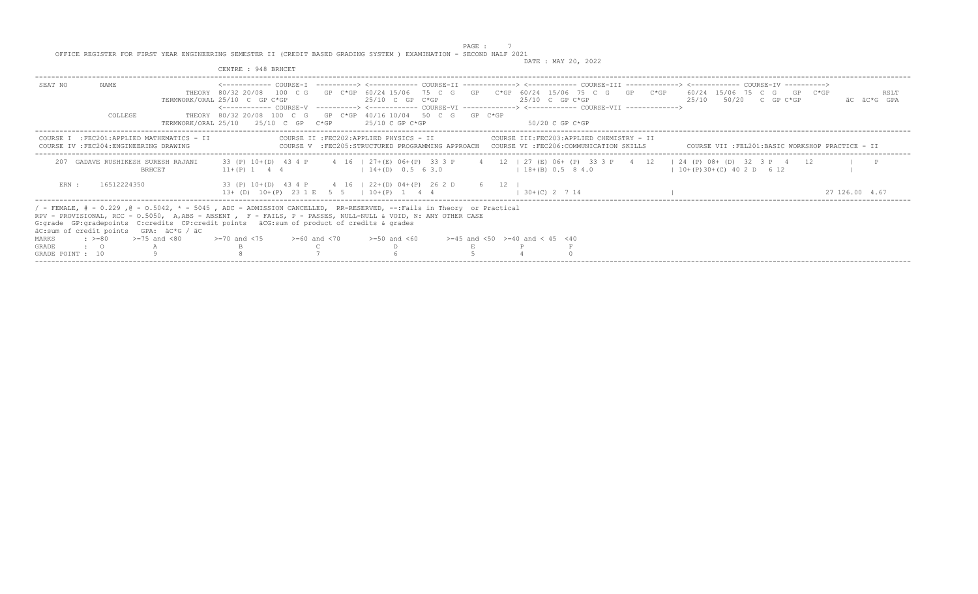|                                  |                   |                                                                                                                                                                                                                                                                                                                                                                                  | CENTRE : 948 BRHCET                                                                                                                                                                                                                                                                                                                                                                                                                                                                |  |                                          |  |                                          |                                          |  |                       |                           |                                                                                                                                         |
|----------------------------------|-------------------|----------------------------------------------------------------------------------------------------------------------------------------------------------------------------------------------------------------------------------------------------------------------------------------------------------------------------------------------------------------------------------|------------------------------------------------------------------------------------------------------------------------------------------------------------------------------------------------------------------------------------------------------------------------------------------------------------------------------------------------------------------------------------------------------------------------------------------------------------------------------------|--|------------------------------------------|--|------------------------------------------|------------------------------------------|--|-----------------------|---------------------------|-----------------------------------------------------------------------------------------------------------------------------------------|
| SEAT NO                          | NAME.<br>COLLEGE  |                                                                                                                                                                                                                                                                                                                                                                                  | <------------ COURSE-T ----------> <------------ COURSE-TT -------------> <----------- COURSE-TT -----------> <----------- COURSE-TT<br>THEORY 80/32 20/08 100 C G GP C*GP 60/24 15/06 75 C G GP C*GP 60/24 15/06 75 C G GP C*GP 60/24 15/06 75 C G GP C*GP<br>TERMWORK/ORAL 25/10 C GP C*GP<br><------------ COURSE-V ----------> <------------ COURSE-VI -------------> <------------ COURSE-VII -------------><br>THEORY 80/32 20/08 100 C G GP C*GP 40/16 10/04 50 C G GP C*GP |  | 25/10 C GP C*GP                          |  | $25/10$ C GP C*GP                        |                                          |  |                       | $25/10$ $50/20$ C GP C*GP | RSLT<br>äC äC*G GPA                                                                                                                     |
|                                  |                   |                                                                                                                                                                                                                                                                                                                                                                                  | $TERMWORK/ORAI, 25/10$ 25/10 C GP C*GP                                                                                                                                                                                                                                                                                                                                                                                                                                             |  | 25/10 C GP C*GP                          |  | -50/20 C GP C*GP                         |                                          |  |                       |                           |                                                                                                                                         |
|                                  |                   | COURSE I : FEC201: APPLIED MATHEMATICS - II<br>COURSE IV : FEC204: ENGINEERING DRAWING                                                                                                                                                                                                                                                                                           |                                                                                                                                                                                                                                                                                                                                                                                                                                                                                    |  | COURSE II : FEC202: APPLIED PHYSICS - II |  |                                          | COURSE III:FEC203:APPLIED CHEMISTRY - II |  |                       |                           | COURSE V :FEC205:STRUCTURED PROGRAMMING APPROACH COURSE VI :FEC206:COMMUNICATION SKILLS COURSE VII :FEL201:BASIC WORKSHOP PRACTICE - II |
| 207                              |                   | GADAVE RUSHIKESH SURESH RAJANI<br><b>BRHCET</b>                                                                                                                                                                                                                                                                                                                                  | 33 (P) 10+(D) 43 4 P 4 16   27+(E) 06+(P) 33 3 P 4 12   27 (E) 06+ (P) 33 3 P 4 12   24 (P) 08+ (D) 32 3 P 4 12<br>$11+(P)$ 1 4 4                                                                                                                                                                                                                                                                                                                                                  |  | $14+(D)$ 0.5 6 3.0                       |  | $18+(B)$ 0.5 8 4.0                       |                                          |  | $10+(P)30+(C)402D612$ |                           |                                                                                                                                         |
| ERN :                            | 16512224350       |                                                                                                                                                                                                                                                                                                                                                                                  | 33 (P) 10+(D) 43 4 P 4 16   22+(D) 04+(P) 26 2 D 6 12  <br>$13+$ (D) $10+(P)$ 23 1 E 5 5   10+ (P) 1 4 4                                                                                                                                                                                                                                                                                                                                                                           |  |                                          |  | $1, 30 + (C), 2, 7, 14$                  |                                          |  |                       |                           | 27 126.00 4.67                                                                                                                          |
|                                  |                   | / - FEMALE, # - 0.229 ,@ - 0.5042, * - 5045 , ADC - ADMISSION CANCELLED, RR-RESERVED, --:Fails in Theory or Practical<br>RPV - PROVISIONAL, RCC - 0.5050, A,ABS - ABSENT , F - FAILS, P - PASSES, NULL-NULL & VOID, N: ANY OTHER CASE<br>G: qrade GP: qradepoints C: credits CP: credit points äCG: sum of product of credits & qrades<br>äC:sum of credit points GPA: äC*G / äC |                                                                                                                                                                                                                                                                                                                                                                                                                                                                                    |  |                                          |  |                                          |                                          |  |                       |                           |                                                                                                                                         |
| <b>MARKS</b>                     |                   | $\div$ >=80 >=75 and <80                                                                                                                                                                                                                                                                                                                                                         | $>=70$ and $<75$ $>=60$ and $<70$                                                                                                                                                                                                                                                                                                                                                                                                                                                  |  | $>=50$ and $<60$                         |  | $>=45$ and $<50$ $>=40$ and $< 45$ $<40$ |                                          |  |                       |                           |                                                                                                                                         |
| <b>GRADE</b><br>GRADE POINT : 10 | $\cdot$ $\cdot$ 0 |                                                                                                                                                                                                                                                                                                                                                                                  |                                                                                                                                                                                                                                                                                                                                                                                                                                                                                    |  |                                          |  |                                          |                                          |  |                       |                           |                                                                                                                                         |
|                                  |                   |                                                                                                                                                                                                                                                                                                                                                                                  |                                                                                                                                                                                                                                                                                                                                                                                                                                                                                    |  |                                          |  |                                          |                                          |  |                       |                           |                                                                                                                                         |